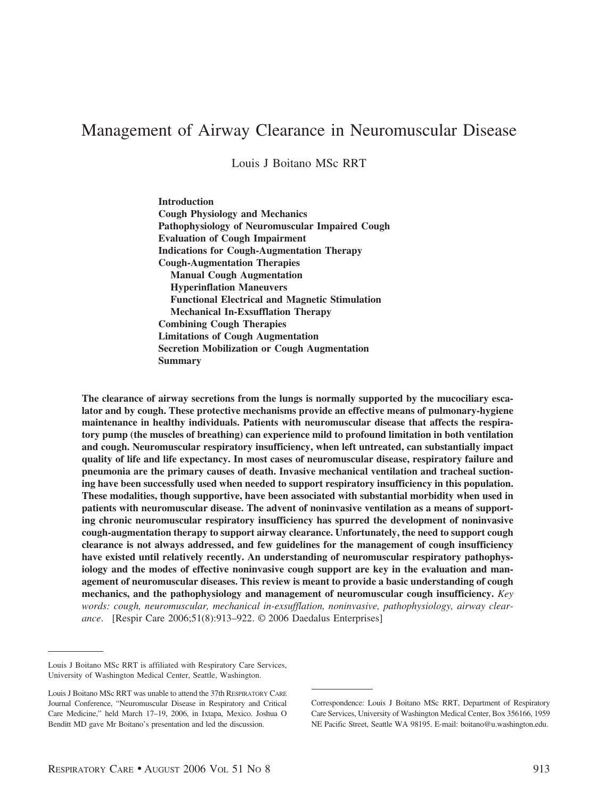# Management of Airway Clearance in Neuromuscular Disease

Louis J Boitano MSc RRT

**Introduction Cough Physiology and Mechanics Pathophysiology of Neuromuscular Impaired Cough Evaluation of Cough Impairment Indications for Cough-Augmentation Therapy Cough-Augmentation Therapies Manual Cough Augmentation Hyperinflation Maneuvers Functional Electrical and Magnetic Stimulation Mechanical In-Exsufflation Therapy Combining Cough Therapies Limitations of Cough Augmentation Secretion Mobilization or Cough Augmentation Summary**

**The clearance of airway secretions from the lungs is normally supported by the mucociliary escalator and by cough. These protective mechanisms provide an effective means of pulmonary-hygiene maintenance in healthy individuals. Patients with neuromuscular disease that affects the respiratory pump (the muscles of breathing) can experience mild to profound limitation in both ventilation and cough. Neuromuscular respiratory insufficiency, when left untreated, can substantially impact quality of life and life expectancy. In most cases of neuromuscular disease, respiratory failure and pneumonia are the primary causes of death. Invasive mechanical ventilation and tracheal suctioning have been successfully used when needed to support respiratory insufficiency in this population. These modalities, though supportive, have been associated with substantial morbidity when used in patients with neuromuscular disease. The advent of noninvasive ventilation as a means of supporting chronic neuromuscular respiratory insufficiency has spurred the development of noninvasive cough-augmentation therapy to support airway clearance. Unfortunately, the need to support cough clearance is not always addressed, and few guidelines for the management of cough insufficiency have existed until relatively recently. An understanding of neuromuscular respiratory pathophysiology and the modes of effective noninvasive cough support are key in the evaluation and management of neuromuscular diseases. This review is meant to provide a basic understanding of cough mechanics, and the pathophysiology and management of neuromuscular cough insufficiency.** *Key words: cough, neuromuscular, mechanical in-exsufflation, noninvasive, pathophysiology, airway clearance*. [Respir Care 2006;51(8):913–922. © 2006 Daedalus Enterprises]

Louis J Boitano MSc RRT is affiliated with Respiratory Care Services, University of Washington Medical Center, Seattle, Washington.

Louis J Boitano MSc RRT was unable to attend the 37th RESPIRATORY CARE Journal Conference, "Neuromuscular Disease in Respiratory and Critical Care Medicine," held March 17–19, 2006, in Ixtapa, Mexico. Joshua O Benditt MD gave Mr Boitano's presentation and led the discussion.

Correspondence: Louis J Boitano MSc RRT, Department of Respiratory Care Services, University of Washington Medical Center, Box 356166, 1959 NE Pacific Street, Seattle WA 98195. E-mail: boitano@u.washington.edu.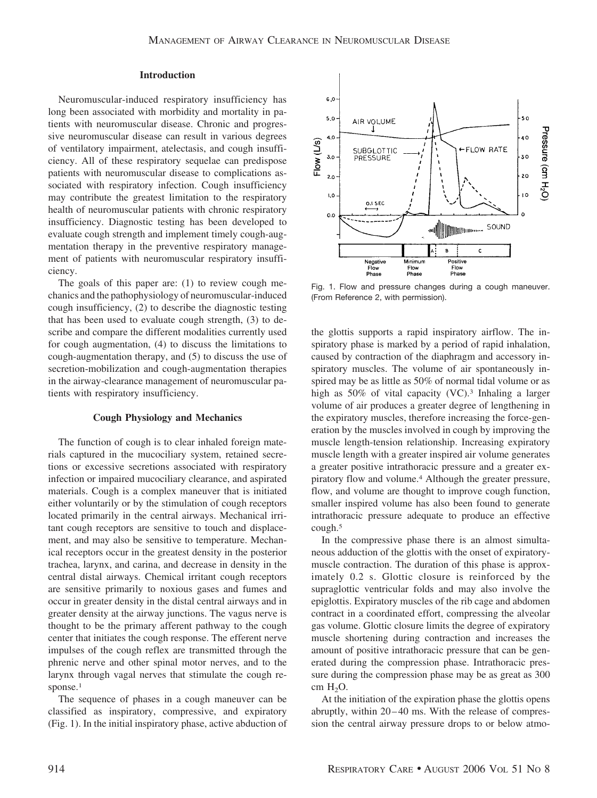## **Introduction**

Neuromuscular-induced respiratory insufficiency has long been associated with morbidity and mortality in patients with neuromuscular disease. Chronic and progressive neuromuscular disease can result in various degrees of ventilatory impairment, atelectasis, and cough insufficiency. All of these respiratory sequelae can predispose patients with neuromuscular disease to complications associated with respiratory infection. Cough insufficiency may contribute the greatest limitation to the respiratory health of neuromuscular patients with chronic respiratory insufficiency. Diagnostic testing has been developed to evaluate cough strength and implement timely cough-augmentation therapy in the preventive respiratory management of patients with neuromuscular respiratory insufficiency.

The goals of this paper are: (1) to review cough mechanics and the pathophysiology of neuromuscular-induced cough insufficiency, (2) to describe the diagnostic testing that has been used to evaluate cough strength, (3) to describe and compare the different modalities currently used for cough augmentation, (4) to discuss the limitations to cough-augmentation therapy, and (5) to discuss the use of secretion-mobilization and cough-augmentation therapies in the airway-clearance management of neuromuscular patients with respiratory insufficiency.

#### **Cough Physiology and Mechanics**

The function of cough is to clear inhaled foreign materials captured in the mucociliary system, retained secretions or excessive secretions associated with respiratory infection or impaired mucociliary clearance, and aspirated materials. Cough is a complex maneuver that is initiated either voluntarily or by the stimulation of cough receptors located primarily in the central airways. Mechanical irritant cough receptors are sensitive to touch and displacement, and may also be sensitive to temperature. Mechanical receptors occur in the greatest density in the posterior trachea, larynx, and carina, and decrease in density in the central distal airways. Chemical irritant cough receptors are sensitive primarily to noxious gases and fumes and occur in greater density in the distal central airways and in greater density at the airway junctions. The vagus nerve is thought to be the primary afferent pathway to the cough center that initiates the cough response. The efferent nerve impulses of the cough reflex are transmitted through the phrenic nerve and other spinal motor nerves, and to the larynx through vagal nerves that stimulate the cough response.<sup>1</sup>

The sequence of phases in a cough maneuver can be classified as inspiratory, compressive, and expiratory (Fig. 1). In the initial inspiratory phase, active abduction of



Fig. 1. Flow and pressure changes during a cough maneuver. (From Reference 2, with permission).

the glottis supports a rapid inspiratory airflow. The inspiratory phase is marked by a period of rapid inhalation, caused by contraction of the diaphragm and accessory inspiratory muscles. The volume of air spontaneously inspired may be as little as 50% of normal tidal volume or as high as 50% of vital capacity (VC).<sup>3</sup> Inhaling a larger volume of air produces a greater degree of lengthening in the expiratory muscles, therefore increasing the force-generation by the muscles involved in cough by improving the muscle length-tension relationship. Increasing expiratory muscle length with a greater inspired air volume generates a greater positive intrathoracic pressure and a greater expiratory flow and volume.4 Although the greater pressure, flow, and volume are thought to improve cough function, smaller inspired volume has also been found to generate intrathoracic pressure adequate to produce an effective cough.5

In the compressive phase there is an almost simultaneous adduction of the glottis with the onset of expiratorymuscle contraction. The duration of this phase is approximately 0.2 s. Glottic closure is reinforced by the supraglottic ventricular folds and may also involve the epiglottis. Expiratory muscles of the rib cage and abdomen contract in a coordinated effort, compressing the alveolar gas volume. Glottic closure limits the degree of expiratory muscle shortening during contraction and increases the amount of positive intrathoracic pressure that can be generated during the compression phase. Intrathoracic pressure during the compression phase may be as great as 300 cm  $H_2O$ .

At the initiation of the expiration phase the glottis opens abruptly, within  $20-40$  ms. With the release of compression the central airway pressure drops to or below atmo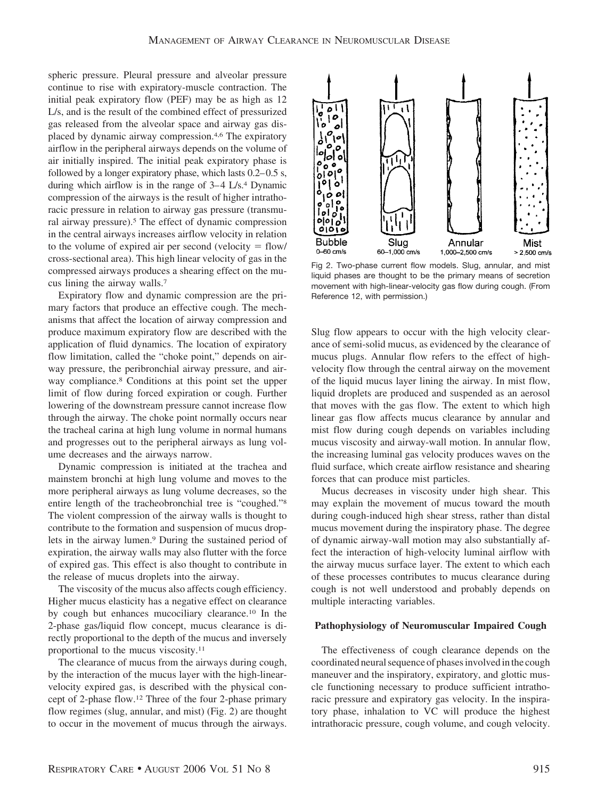spheric pressure. Pleural pressure and alveolar pressure continue to rise with expiratory-muscle contraction. The initial peak expiratory flow (PEF) may be as high as 12 L/s, and is the result of the combined effect of pressurized gas released from the alveolar space and airway gas displaced by dynamic airway compression.4,6 The expiratory airflow in the peripheral airways depends on the volume of air initially inspired. The initial peak expiratory phase is followed by a longer expiratory phase, which lasts  $0.2-0.5$  s, during which airflow is in the range of  $3-4$  L/s.<sup>4</sup> Dynamic compression of the airways is the result of higher intrathoracic pressure in relation to airway gas pressure (transmural airway pressure).5 The effect of dynamic compression in the central airways increases airflow velocity in relation to the volume of expired air per second (velocity  $=$  flow/ cross-sectional area). This high linear velocity of gas in the compressed airways produces a shearing effect on the mucus lining the airway walls.7

Expiratory flow and dynamic compression are the primary factors that produce an effective cough. The mechanisms that affect the location of airway compression and produce maximum expiratory flow are described with the application of fluid dynamics. The location of expiratory flow limitation, called the "choke point," depends on airway pressure, the peribronchial airway pressure, and airway compliance.8 Conditions at this point set the upper limit of flow during forced expiration or cough. Further lowering of the downstream pressure cannot increase flow through the airway. The choke point normally occurs near the tracheal carina at high lung volume in normal humans and progresses out to the peripheral airways as lung volume decreases and the airways narrow.

Dynamic compression is initiated at the trachea and mainstem bronchi at high lung volume and moves to the more peripheral airways as lung volume decreases, so the entire length of the tracheobronchial tree is "coughed."8 The violent compression of the airway walls is thought to contribute to the formation and suspension of mucus droplets in the airway lumen.9 During the sustained period of expiration, the airway walls may also flutter with the force of expired gas. This effect is also thought to contribute in the release of mucus droplets into the airway.

The viscosity of the mucus also affects cough efficiency. Higher mucus elasticity has a negative effect on clearance by cough but enhances mucociliary clearance.10 In the 2-phase gas/liquid flow concept, mucus clearance is directly proportional to the depth of the mucus and inversely proportional to the mucus viscosity.11

The clearance of mucus from the airways during cough, by the interaction of the mucus layer with the high-linearvelocity expired gas, is described with the physical concept of 2-phase flow.12 Three of the four 2-phase primary flow regimes (slug, annular, and mist) (Fig. 2) are thought to occur in the movement of mucus through the airways.



Fig 2. Two-phase current flow models. Slug, annular, and mist liquid phases are thought to be the primary means of secretion movement with high-linear-velocity gas flow during cough. (From Reference 12, with permission.)

Slug flow appears to occur with the high velocity clearance of semi-solid mucus, as evidenced by the clearance of mucus plugs. Annular flow refers to the effect of highvelocity flow through the central airway on the movement of the liquid mucus layer lining the airway. In mist flow, liquid droplets are produced and suspended as an aerosol that moves with the gas flow. The extent to which high linear gas flow affects mucus clearance by annular and mist flow during cough depends on variables including mucus viscosity and airway-wall motion. In annular flow, the increasing luminal gas velocity produces waves on the fluid surface, which create airflow resistance and shearing forces that can produce mist particles.

Mucus decreases in viscosity under high shear. This may explain the movement of mucus toward the mouth during cough-induced high shear stress, rather than distal mucus movement during the inspiratory phase. The degree of dynamic airway-wall motion may also substantially affect the interaction of high-velocity luminal airflow with the airway mucus surface layer. The extent to which each of these processes contributes to mucus clearance during cough is not well understood and probably depends on multiple interacting variables.

## **Pathophysiology of Neuromuscular Impaired Cough**

The effectiveness of cough clearance depends on the coordinated neural sequence of phases involved in the cough maneuver and the inspiratory, expiratory, and glottic muscle functioning necessary to produce sufficient intrathoracic pressure and expiratory gas velocity. In the inspiratory phase, inhalation to VC will produce the highest intrathoracic pressure, cough volume, and cough velocity.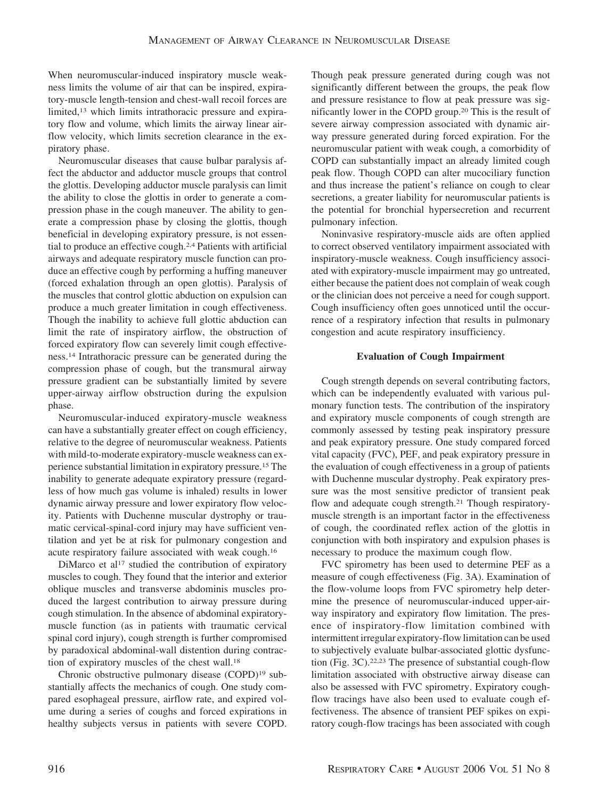When neuromuscular-induced inspiratory muscle weakness limits the volume of air that can be inspired, expiratory-muscle length-tension and chest-wall recoil forces are limited,13 which limits intrathoracic pressure and expiratory flow and volume, which limits the airway linear airflow velocity, which limits secretion clearance in the expiratory phase.

Neuromuscular diseases that cause bulbar paralysis affect the abductor and adductor muscle groups that control the glottis. Developing adductor muscle paralysis can limit the ability to close the glottis in order to generate a compression phase in the cough maneuver. The ability to generate a compression phase by closing the glottis, though beneficial in developing expiratory pressure, is not essential to produce an effective cough.2,4 Patients with artificial airways and adequate respiratory muscle function can produce an effective cough by performing a huffing maneuver (forced exhalation through an open glottis). Paralysis of the muscles that control glottic abduction on expulsion can produce a much greater limitation in cough effectiveness. Though the inability to achieve full glottic abduction can limit the rate of inspiratory airflow, the obstruction of forced expiratory flow can severely limit cough effectiveness.14 Intrathoracic pressure can be generated during the compression phase of cough, but the transmural airway pressure gradient can be substantially limited by severe upper-airway airflow obstruction during the expulsion phase.

Neuromuscular-induced expiratory-muscle weakness can have a substantially greater effect on cough efficiency, relative to the degree of neuromuscular weakness. Patients with mild-to-moderate expiratory-muscle weakness can experience substantial limitation in expiratory pressure.15 The inability to generate adequate expiratory pressure (regardless of how much gas volume is inhaled) results in lower dynamic airway pressure and lower expiratory flow velocity. Patients with Duchenne muscular dystrophy or traumatic cervical-spinal-cord injury may have sufficient ventilation and yet be at risk for pulmonary congestion and acute respiratory failure associated with weak cough.16

DiMarco et al<sup>17</sup> studied the contribution of expiratory muscles to cough. They found that the interior and exterior oblique muscles and transverse abdominis muscles produced the largest contribution to airway pressure during cough stimulation. In the absence of abdominal expiratorymuscle function (as in patients with traumatic cervical spinal cord injury), cough strength is further compromised by paradoxical abdominal-wall distention during contraction of expiratory muscles of the chest wall.18

Chronic obstructive pulmonary disease (COPD)19 substantially affects the mechanics of cough. One study compared esophageal pressure, airflow rate, and expired volume during a series of coughs and forced expirations in healthy subjects versus in patients with severe COPD. Though peak pressure generated during cough was not significantly different between the groups, the peak flow and pressure resistance to flow at peak pressure was significantly lower in the COPD group.20 This is the result of severe airway compression associated with dynamic airway pressure generated during forced expiration. For the neuromuscular patient with weak cough, a comorbidity of COPD can substantially impact an already limited cough peak flow. Though COPD can alter mucociliary function and thus increase the patient's reliance on cough to clear secretions, a greater liability for neuromuscular patients is the potential for bronchial hypersecretion and recurrent pulmonary infection.

Noninvasive respiratory-muscle aids are often applied to correct observed ventilatory impairment associated with inspiratory-muscle weakness. Cough insufficiency associated with expiratory-muscle impairment may go untreated, either because the patient does not complain of weak cough or the clinician does not perceive a need for cough support. Cough insufficiency often goes unnoticed until the occurrence of a respiratory infection that results in pulmonary congestion and acute respiratory insufficiency.

# **Evaluation of Cough Impairment**

Cough strength depends on several contributing factors, which can be independently evaluated with various pulmonary function tests. The contribution of the inspiratory and expiratory muscle components of cough strength are commonly assessed by testing peak inspiratory pressure and peak expiratory pressure. One study compared forced vital capacity (FVC), PEF, and peak expiratory pressure in the evaluation of cough effectiveness in a group of patients with Duchenne muscular dystrophy. Peak expiratory pressure was the most sensitive predictor of transient peak flow and adequate cough strength.<sup>21</sup> Though respiratorymuscle strength is an important factor in the effectiveness of cough, the coordinated reflex action of the glottis in conjunction with both inspiratory and expulsion phases is necessary to produce the maximum cough flow.

FVC spirometry has been used to determine PEF as a measure of cough effectiveness (Fig. 3A). Examination of the flow-volume loops from FVC spirometry help determine the presence of neuromuscular-induced upper-airway inspiratory and expiratory flow limitation. The presence of inspiratory-flow limitation combined with intermittent irregular expiratory-flow limitation can be used to subjectively evaluate bulbar-associated glottic dysfunction (Fig. 3C).22,23 The presence of substantial cough-flow limitation associated with obstructive airway disease can also be assessed with FVC spirometry. Expiratory coughflow tracings have also been used to evaluate cough effectiveness. The absence of transient PEF spikes on expiratory cough-flow tracings has been associated with cough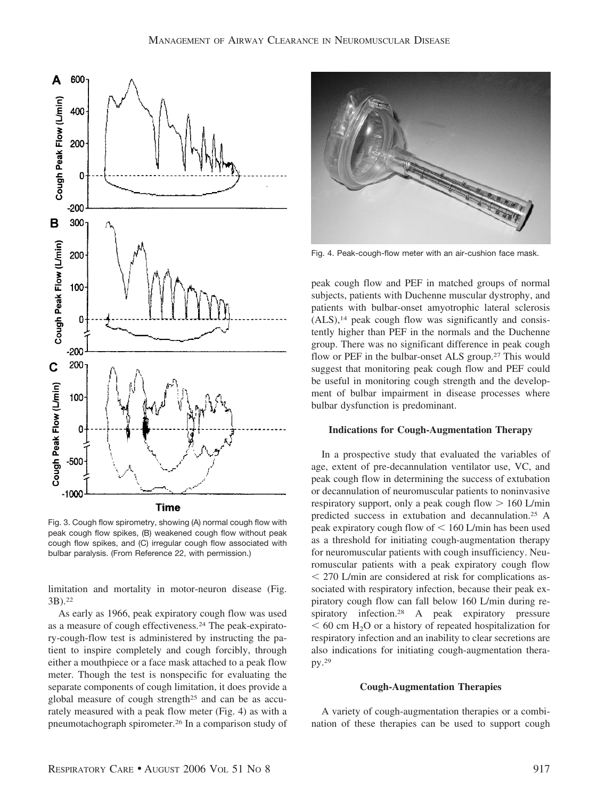

Fig. 3. Cough flow spirometry, showing (A) normal cough flow with peak cough flow spikes, (B) weakened cough flow without peak cough flow spikes, and (C) irregular cough flow associated with bulbar paralysis. (From Reference 22, with permission.)

limitation and mortality in motor-neuron disease (Fig. 3B).22

As early as 1966, peak expiratory cough flow was used as a measure of cough effectiveness.24 The peak-expiratory-cough-flow test is administered by instructing the patient to inspire completely and cough forcibly, through either a mouthpiece or a face mask attached to a peak flow meter. Though the test is nonspecific for evaluating the separate components of cough limitation, it does provide a global measure of cough strength25 and can be as accurately measured with a peak flow meter (Fig. 4) as with a pneumotachograph spirometer.26 In a comparison study of



Fig. 4. Peak-cough-flow meter with an air-cushion face mask.

peak cough flow and PEF in matched groups of normal subjects, patients with Duchenne muscular dystrophy, and patients with bulbar-onset amyotrophic lateral sclerosis  $(ALS)$ ,<sup>14</sup> peak cough flow was significantly and consistently higher than PEF in the normals and the Duchenne group. There was no significant difference in peak cough flow or PEF in the bulbar-onset ALS group.<sup>27</sup> This would suggest that monitoring peak cough flow and PEF could be useful in monitoring cough strength and the development of bulbar impairment in disease processes where bulbar dysfunction is predominant.

#### **Indications for Cough-Augmentation Therapy**

In a prospective study that evaluated the variables of age, extent of pre-decannulation ventilator use, VC, and peak cough flow in determining the success of extubation or decannulation of neuromuscular patients to noninvasive respiratory support, only a peak cough flow  $> 160$  L/min predicted success in extubation and decannulation.25 A peak expiratory cough flow of  $\leq 160$  L/min has been used as a threshold for initiating cough-augmentation therapy for neuromuscular patients with cough insufficiency. Neuromuscular patients with a peak expiratory cough flow 270 L/min are considered at risk for complications associated with respiratory infection, because their peak expiratory cough flow can fall below 160 L/min during respiratory infection.28 A peak expiratory pressure  $60$  cm H<sub>2</sub>O or a history of repeated hospitalization for respiratory infection and an inability to clear secretions are also indications for initiating cough-augmentation therapy.29

#### **Cough-Augmentation Therapies**

A variety of cough-augmentation therapies or a combination of these therapies can be used to support cough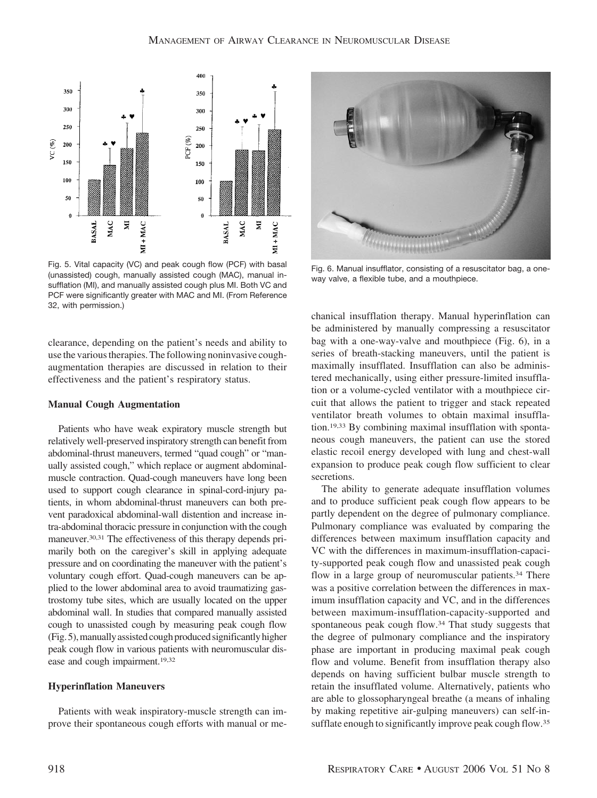

Fig. 5. Vital capacity (VC) and peak cough flow (PCF) with basal (unassisted) cough, manually assisted cough (MAC), manual insufflation (MI), and manually assisted cough plus MI. Both VC and PCF were significantly greater with MAC and MI. (From Reference 32, with permission.)

clearance, depending on the patient's needs and ability to use the various therapies. The following noninvasive coughaugmentation therapies are discussed in relation to their effectiveness and the patient's respiratory status.

# **Manual Cough Augmentation**

Patients who have weak expiratory muscle strength but relatively well-preserved inspiratory strength can benefit from abdominal-thrust maneuvers, termed "quad cough" or "manually assisted cough," which replace or augment abdominalmuscle contraction. Quad-cough maneuvers have long been used to support cough clearance in spinal-cord-injury patients, in whom abdominal-thrust maneuvers can both prevent paradoxical abdominal-wall distention and increase intra-abdominal thoracic pressure in conjunction with the cough maneuver.30,31 The effectiveness of this therapy depends primarily both on the caregiver's skill in applying adequate pressure and on coordinating the maneuver with the patient's voluntary cough effort. Quad-cough maneuvers can be applied to the lower abdominal area to avoid traumatizing gastrostomy tube sites, which are usually located on the upper abdominal wall. In studies that compared manually assisted cough to unassisted cough by measuring peak cough flow (Fig. 5),manually assisted cough produced significantly higher peak cough flow in various patients with neuromuscular disease and cough impairment.<sup>19,32</sup>

# **Hyperinflation Maneuvers**

Patients with weak inspiratory-muscle strength can improve their spontaneous cough efforts with manual or me-



Fig. 6. Manual insufflator, consisting of a resuscitator bag, a oneway valve, a flexible tube, and a mouthpiece.

chanical insufflation therapy. Manual hyperinflation can be administered by manually compressing a resuscitator bag with a one-way-valve and mouthpiece (Fig. 6), in a series of breath-stacking maneuvers, until the patient is maximally insufflated. Insufflation can also be administered mechanically, using either pressure-limited insufflation or a volume-cycled ventilator with a mouthpiece circuit that allows the patient to trigger and stack repeated ventilator breath volumes to obtain maximal insufflation.19,33 By combining maximal insufflation with spontaneous cough maneuvers, the patient can use the stored elastic recoil energy developed with lung and chest-wall expansion to produce peak cough flow sufficient to clear secretions.

The ability to generate adequate insufflation volumes and to produce sufficient peak cough flow appears to be partly dependent on the degree of pulmonary compliance. Pulmonary compliance was evaluated by comparing the differences between maximum insufflation capacity and VC with the differences in maximum-insufflation-capacity-supported peak cough flow and unassisted peak cough flow in a large group of neuromuscular patients.<sup>34</sup> There was a positive correlation between the differences in maximum insufflation capacity and VC, and in the differences between maximum-insufflation-capacity-supported and spontaneous peak cough flow.34 That study suggests that the degree of pulmonary compliance and the inspiratory phase are important in producing maximal peak cough flow and volume. Benefit from insufflation therapy also depends on having sufficient bulbar muscle strength to retain the insufflated volume. Alternatively, patients who are able to glossopharyngeal breathe (a means of inhaling by making repetitive air-gulping maneuvers) can self-insufflate enough to significantly improve peak cough flow.<sup>35</sup>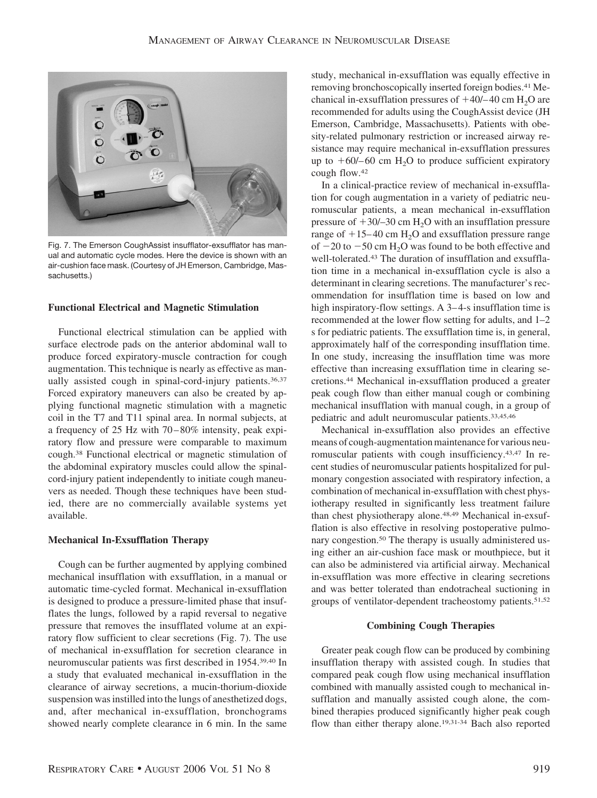

Fig. 7. The Emerson CoughAssist insufflator-exsufflator has manual and automatic cycle modes. Here the device is shown with an air-cushion face mask. (Courtesy of JH Emerson, Cambridge, Massachusetts.)

## **Functional Electrical and Magnetic Stimulation**

Functional electrical stimulation can be applied with surface electrode pads on the anterior abdominal wall to produce forced expiratory-muscle contraction for cough augmentation. This technique is nearly as effective as manually assisted cough in spinal-cord-injury patients.<sup>36,37</sup> Forced expiratory maneuvers can also be created by applying functional magnetic stimulation with a magnetic coil in the T7 and T11 spinal area. In normal subjects, at a frequency of 25 Hz with 70 – 80% intensity, peak expiratory flow and pressure were comparable to maximum cough.38 Functional electrical or magnetic stimulation of the abdominal expiratory muscles could allow the spinalcord-injury patient independently to initiate cough maneuvers as needed. Though these techniques have been studied, there are no commercially available systems yet available.

# **Mechanical In-Exsufflation Therapy**

Cough can be further augmented by applying combined mechanical insufflation with exsufflation, in a manual or automatic time-cycled format. Mechanical in-exsufflation is designed to produce a pressure-limited phase that insufflates the lungs, followed by a rapid reversal to negative pressure that removes the insufflated volume at an expiratory flow sufficient to clear secretions (Fig. 7). The use of mechanical in-exsufflation for secretion clearance in neuromuscular patients was first described in 1954.39,40 In a study that evaluated mechanical in-exsufflation in the clearance of airway secretions, a mucin-thorium-dioxide suspension was instilled into the lungs of anesthetized dogs, and, after mechanical in-exsufflation, bronchograms showed nearly complete clearance in 6 min. In the same study, mechanical in-exsufflation was equally effective in removing bronchoscopically inserted foreign bodies.41 Mechanical in-exsufflation pressures of  $+40/- 40$  cm H<sub>2</sub>O are recommended for adults using the CoughAssist device (JH Emerson, Cambridge, Massachusetts). Patients with obesity-related pulmonary restriction or increased airway resistance may require mechanical in-exsufflation pressures up to  $+60/-60$  cm H<sub>2</sub>O to produce sufficient expiratory cough flow.42

In a clinical-practice review of mechanical in-exsufflation for cough augmentation in a variety of pediatric neuromuscular patients, a mean mechanical in-exsufflation pressure of  $+30/-30$  cm H<sub>2</sub>O with an insufflation pressure range of  $+15-40$  cm H<sub>2</sub>O and exsufflation pressure range of  $-20$  to  $-50$  cm H<sub>2</sub>O was found to be both effective and well-tolerated.43 The duration of insufflation and exsufflation time in a mechanical in-exsufflation cycle is also a determinant in clearing secretions. The manufacturer's recommendation for insufflation time is based on low and high inspiratory-flow settings. A 3–4-s insufflation time is recommended at the lower flow setting for adults, and 1–2 s for pediatric patients. The exsufflation time is, in general, approximately half of the corresponding insufflation time. In one study, increasing the insufflation time was more effective than increasing exsufflation time in clearing secretions.44 Mechanical in-exsufflation produced a greater peak cough flow than either manual cough or combining mechanical insufflation with manual cough, in a group of pediatric and adult neuromuscular patients.33,45,46

Mechanical in-exsufflation also provides an effective means of cough-augmentation maintenance for various neuromuscular patients with cough insufficiency.43,47 In recent studies of neuromuscular patients hospitalized for pulmonary congestion associated with respiratory infection, a combination of mechanical in-exsufflation with chest physiotherapy resulted in significantly less treatment failure than chest physiotherapy alone.48,49 Mechanical in-exsufflation is also effective in resolving postoperative pulmonary congestion.50 The therapy is usually administered using either an air-cushion face mask or mouthpiece, but it can also be administered via artificial airway. Mechanical in-exsufflation was more effective in clearing secretions and was better tolerated than endotracheal suctioning in groups of ventilator-dependent tracheostomy patients.51,52

#### **Combining Cough Therapies**

Greater peak cough flow can be produced by combining insufflation therapy with assisted cough. In studies that compared peak cough flow using mechanical insufflation combined with manually assisted cough to mechanical insufflation and manually assisted cough alone, the combined therapies produced significantly higher peak cough flow than either therapy alone.19,31-34 Bach also reported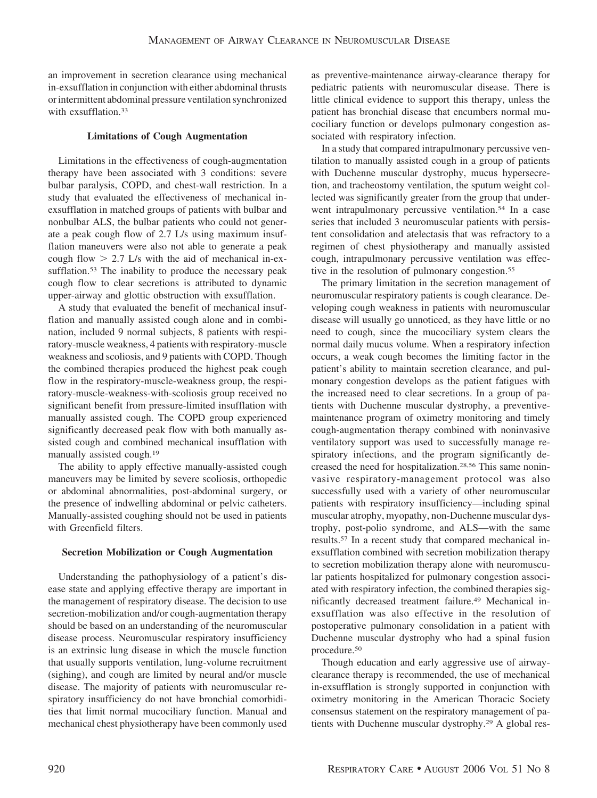an improvement in secretion clearance using mechanical in-exsufflation in conjunction with either abdominal thrusts or intermittent abdominal pressure ventilation synchronized with exsufflation.<sup>33</sup>

# **Limitations of Cough Augmentation**

Limitations in the effectiveness of cough-augmentation therapy have been associated with 3 conditions: severe bulbar paralysis, COPD, and chest-wall restriction. In a study that evaluated the effectiveness of mechanical inexsufflation in matched groups of patients with bulbar and nonbulbar ALS, the bulbar patients who could not generate a peak cough flow of 2.7 L/s using maximum insufflation maneuvers were also not able to generate a peak cough flow  $> 2.7$  L/s with the aid of mechanical in-exsufflation.<sup>53</sup> The inability to produce the necessary peak cough flow to clear secretions is attributed to dynamic upper-airway and glottic obstruction with exsufflation.

A study that evaluated the benefit of mechanical insufflation and manually assisted cough alone and in combination, included 9 normal subjects, 8 patients with respiratory-muscle weakness, 4 patients with respiratory-muscle weakness and scoliosis, and 9 patients with COPD. Though the combined therapies produced the highest peak cough flow in the respiratory-muscle-weakness group, the respiratory-muscle-weakness-with-scoliosis group received no significant benefit from pressure-limited insufflation with manually assisted cough. The COPD group experienced significantly decreased peak flow with both manually assisted cough and combined mechanical insufflation with manually assisted cough.19

The ability to apply effective manually-assisted cough maneuvers may be limited by severe scoliosis, orthopedic or abdominal abnormalities, post-abdominal surgery, or the presence of indwelling abdominal or pelvic catheters. Manually-assisted coughing should not be used in patients with Greenfield filters.

# **Secretion Mobilization or Cough Augmentation**

Understanding the pathophysiology of a patient's disease state and applying effective therapy are important in the management of respiratory disease. The decision to use secretion-mobilization and/or cough-augmentation therapy should be based on an understanding of the neuromuscular disease process. Neuromuscular respiratory insufficiency is an extrinsic lung disease in which the muscle function that usually supports ventilation, lung-volume recruitment (sighing), and cough are limited by neural and/or muscle disease. The majority of patients with neuromuscular respiratory insufficiency do not have bronchial comorbidities that limit normal mucociliary function. Manual and mechanical chest physiotherapy have been commonly used as preventive-maintenance airway-clearance therapy for pediatric patients with neuromuscular disease. There is little clinical evidence to support this therapy, unless the patient has bronchial disease that encumbers normal mucociliary function or develops pulmonary congestion associated with respiratory infection.

In a study that compared intrapulmonary percussive ventilation to manually assisted cough in a group of patients with Duchenne muscular dystrophy, mucus hypersecretion, and tracheostomy ventilation, the sputum weight collected was significantly greater from the group that underwent intrapulmonary percussive ventilation.<sup>54</sup> In a case series that included 3 neuromuscular patients with persistent consolidation and atelectasis that was refractory to a regimen of chest physiotherapy and manually assisted cough, intrapulmonary percussive ventilation was effective in the resolution of pulmonary congestion.<sup>55</sup>

The primary limitation in the secretion management of neuromuscular respiratory patients is cough clearance. Developing cough weakness in patients with neuromuscular disease will usually go unnoticed, as they have little or no need to cough, since the mucociliary system clears the normal daily mucus volume. When a respiratory infection occurs, a weak cough becomes the limiting factor in the patient's ability to maintain secretion clearance, and pulmonary congestion develops as the patient fatigues with the increased need to clear secretions. In a group of patients with Duchenne muscular dystrophy, a preventivemaintenance program of oximetry monitoring and timely cough-augmentation therapy combined with noninvasive ventilatory support was used to successfully manage respiratory infections, and the program significantly decreased the need for hospitalization.28,56 This same noninvasive respiratory-management protocol was also successfully used with a variety of other neuromuscular patients with respiratory insufficiency—including spinal muscular atrophy, myopathy, non-Duchenne muscular dystrophy, post-polio syndrome, and ALS—with the same results.57 In a recent study that compared mechanical inexsufflation combined with secretion mobilization therapy to secretion mobilization therapy alone with neuromuscular patients hospitalized for pulmonary congestion associated with respiratory infection, the combined therapies significantly decreased treatment failure.49 Mechanical inexsufflation was also effective in the resolution of postoperative pulmonary consolidation in a patient with Duchenne muscular dystrophy who had a spinal fusion procedure.50

Though education and early aggressive use of airwayclearance therapy is recommended, the use of mechanical in-exsufflation is strongly supported in conjunction with oximetry monitoring in the American Thoracic Society consensus statement on the respiratory management of patients with Duchenne muscular dystrophy.29 A global res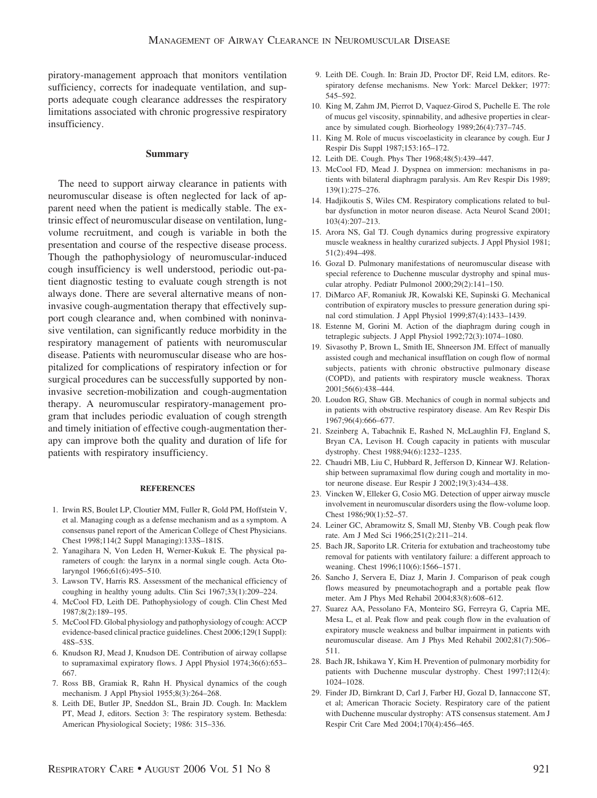piratory-management approach that monitors ventilation sufficiency, corrects for inadequate ventilation, and supports adequate cough clearance addresses the respiratory limitations associated with chronic progressive respiratory insufficiency.

# **Summary**

The need to support airway clearance in patients with neuromuscular disease is often neglected for lack of apparent need when the patient is medically stable. The extrinsic effect of neuromuscular disease on ventilation, lungvolume recruitment, and cough is variable in both the presentation and course of the respective disease process. Though the pathophysiology of neuromuscular-induced cough insufficiency is well understood, periodic out-patient diagnostic testing to evaluate cough strength is not always done. There are several alternative means of noninvasive cough-augmentation therapy that effectively support cough clearance and, when combined with noninvasive ventilation, can significantly reduce morbidity in the respiratory management of patients with neuromuscular disease. Patients with neuromuscular disease who are hospitalized for complications of respiratory infection or for surgical procedures can be successfully supported by noninvasive secretion-mobilization and cough-augmentation therapy. A neuromuscular respiratory-management program that includes periodic evaluation of cough strength and timely initiation of effective cough-augmentation therapy can improve both the quality and duration of life for patients with respiratory insufficiency.

#### **REFERENCES**

- 1. Irwin RS, Boulet LP, Cloutier MM, Fuller R, Gold PM, Hoffstein V, et al. Managing cough as a defense mechanism and as a symptom. A consensus panel report of the American College of Chest Physicians. Chest 1998;114(2 Suppl Managing):133S–181S.
- 2. Yanagihara N, Von Leden H, Werner-Kukuk E. The physical parameters of cough: the larynx in a normal single cough. Acta Otolaryngol 1966;61(6):495–510.
- 3. Lawson TV, Harris RS. Assessment of the mechanical efficiency of coughing in healthy young adults. Clin Sci 1967;33(1):209–224.
- 4. McCool FD, Leith DE. Pathophysiology of cough. Clin Chest Med 1987;8(2):189–195.
- 5. McCool FD. Global physiology and pathophysiology of cough: ACCP evidence-based clinical practice guidelines. Chest 2006;129(1 Suppl): 48S–53S.
- 6. Knudson RJ, Mead J, Knudson DE. Contribution of airway collapse to supramaximal expiratory flows. J Appl Physiol 1974;36(6):653– 667.
- 7. Ross BB, Gramiak R, Rahn H. Physical dynamics of the cough mechanism. J Appl Physiol 1955;8(3):264–268.
- 8. Leith DE, Butler JP, Sneddon SL, Brain JD. Cough. In: Macklem PT, Mead J, editors. Section 3: The respiratory system. Bethesda: American Physiological Society; 1986: 315–336.
- 9. Leith DE. Cough. In: Brain JD, Proctor DF, Reid LM, editors. Respiratory defense mechanisms. New York: Marcel Dekker; 1977: 545–592.
- 10. King M, Zahm JM, Pierrot D, Vaquez-Girod S, Puchelle E. The role of mucus gel viscosity, spinnability, and adhesive properties in clearance by simulated cough. Biorheology 1989;26(4):737–745.
- 11. King M. Role of mucus viscoelasticity in clearance by cough. Eur J Respir Dis Suppl 1987;153:165–172.
- 12. Leith DE. Cough. Phys Ther 1968;48(5):439–447.
- 13. McCool FD, Mead J. Dyspnea on immersion: mechanisms in patients with bilateral diaphragm paralysis. Am Rev Respir Dis 1989; 139(1):275–276.
- 14. Hadjikoutis S, Wiles CM. Respiratory complications related to bulbar dysfunction in motor neuron disease. Acta Neurol Scand 2001; 103(4):207–213.
- 15. Arora NS, Gal TJ. Cough dynamics during progressive expiratory muscle weakness in healthy curarized subjects. J Appl Physiol 1981; 51(2):494–498.
- 16. Gozal D. Pulmonary manifestations of neuromuscular disease with special reference to Duchenne muscular dystrophy and spinal muscular atrophy. Pediatr Pulmonol 2000;29(2):141–150.
- 17. DiMarco AF, Romaniuk JR, Kowalski KE, Supinski G. Mechanical contribution of expiratory muscles to pressure generation during spinal cord stimulation. J Appl Physiol 1999;87(4):1433–1439.
- 18. Estenne M, Gorini M. Action of the diaphragm during cough in tetraplegic subjects. J Appl Physiol 1992;72(3):1074–1080.
- 19. Sivasothy P, Brown L, Smith IE, Shneerson JM. Effect of manually assisted cough and mechanical insufflation on cough flow of normal subjects, patients with chronic obstructive pulmonary disease (COPD), and patients with respiratory muscle weakness. Thorax 2001;56(6):438–444.
- 20. Loudon RG, Shaw GB. Mechanics of cough in normal subjects and in patients with obstructive respiratory disease. Am Rev Respir Dis 1967;96(4):666–677.
- 21. Szeinberg A, Tabachnik E, Rashed N, McLaughlin FJ, England S, Bryan CA, Levison H. Cough capacity in patients with muscular dystrophy. Chest 1988;94(6):1232–1235.
- 22. Chaudri MB, Liu C, Hubbard R, Jefferson D, Kinnear WJ. Relationship between supramaximal flow during cough and mortality in motor neurone disease. Eur Respir J 2002;19(3):434–438.
- 23. Vincken W, Elleker G, Cosio MG. Detection of upper airway muscle involvement in neuromuscular disorders using the flow-volume loop. Chest 1986;90(1):52–57.
- 24. Leiner GC, Abramowitz S, Small MJ, Stenby VB. Cough peak flow rate. Am J Med Sci 1966;251(2):211–214.
- 25. Bach JR, Saporito LR. Criteria for extubation and tracheostomy tube removal for patients with ventilatory failure: a different approach to weaning. Chest 1996;110(6):1566–1571.
- 26. Sancho J, Servera E, Diaz J, Marin J. Comparison of peak cough flows measured by pneumotachograph and a portable peak flow meter. Am J Phys Med Rehabil 2004;83(8):608–612.
- 27. Suarez AA, Pessolano FA, Monteiro SG, Ferreyra G, Capria ME, Mesa L, et al. Peak flow and peak cough flow in the evaluation of expiratory muscle weakness and bulbar impairment in patients with neuromuscular disease. Am J Phys Med Rehabil 2002;81(7):506– 511.
- 28. Bach JR, Ishikawa Y, Kim H. Prevention of pulmonary morbidity for patients with Duchenne muscular dystrophy. Chest 1997;112(4): 1024–1028.
- 29. Finder JD, Birnkrant D, Carl J, Farber HJ, Gozal D, Iannaccone ST, et al; American Thoracic Society. Respiratory care of the patient with Duchenne muscular dystrophy: ATS consensus statement. Am J Respir Crit Care Med 2004;170(4):456–465.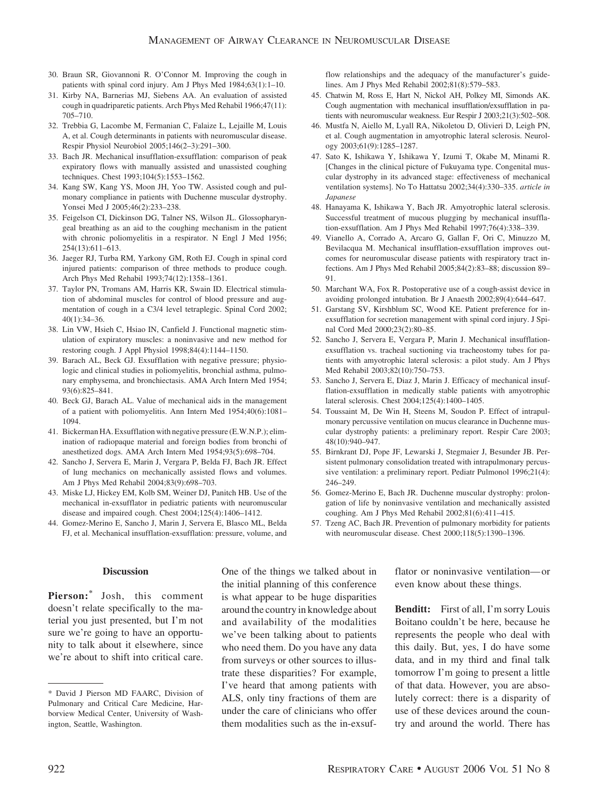- 30. Braun SR, Giovannoni R. O'Connor M. Improving the cough in patients with spinal cord injury. Am J Phys Med 1984;63(1):1–10.
- 31. Kirby NA, Barnerias MJ, Siebens AA. An evaluation of assisted cough in quadriparetic patients. Arch Phys Med Rehabil 1966;47(11): 705–710.
- 32. Trebbia G, Lacombe M, Fermanian C, Falaize L, Lejaille M, Louis A, et al. Cough determinants in patients with neuromuscular disease. Respir Physiol Neurobiol 2005;146(2–3):291–300.
- 33. Bach JR. Mechanical insufflation-exsufflation: comparison of peak expiratory flows with manually assisted and unassisted coughing techniques. Chest 1993;104(5):1553–1562.
- 34. Kang SW, Kang YS, Moon JH, Yoo TW. Assisted cough and pulmonary compliance in patients with Duchenne muscular dystrophy. Yonsei Med J 2005;46(2):233–238.
- 35. Feigelson CI, Dickinson DG, Talner NS, Wilson JL. Glossopharyngeal breathing as an aid to the coughing mechanism in the patient with chronic poliomyelitis in a respirator. N Engl J Med 1956; 254(13):611–613.
- 36. Jaeger RJ, Turba RM, Yarkony GM, Roth EJ. Cough in spinal cord injured patients: comparison of three methods to produce cough. Arch Phys Med Rehabil 1993;74(12):1358–1361.
- 37. Taylor PN, Tromans AM, Harris KR, Swain ID. Electrical stimulation of abdominal muscles for control of blood pressure and augmentation of cough in a C3/4 level tetraplegic. Spinal Cord 2002; 40(1):34–36.
- 38. Lin VW, Hsieh C, Hsiao IN, Canfield J. Functional magnetic stimulation of expiratory muscles: a noninvasive and new method for restoring cough. J Appl Physiol 1998;84(4):1144–1150.
- 39. Barach AL, Beck GJ. Exsufflation with negative pressure; physiologic and clinical studies in poliomyelitis, bronchial asthma, pulmonary emphysema, and bronchiectasis. AMA Arch Intern Med 1954; 93(6):825–841.
- 40. Beck GJ, Barach AL. Value of mechanical aids in the management of a patient with poliomyelitis. Ann Intern Med 1954;40(6):1081– 1094.
- 41. Bickerman HA. Exsufflation with negative pressure (E.W.N.P.); elimination of radiopaque material and foreign bodies from bronchi of anesthetized dogs. AMA Arch Intern Med 1954;93(5):698–704.
- 42. Sancho J, Servera E, Marin J, Vergara P, Belda FJ, Bach JR. Effect of lung mechanics on mechanically assisted flows and volumes. Am J Phys Med Rehabil 2004;83(9):698–703.
- 43. Miske LJ, Hickey EM, Kolb SM, Weiner DJ, Panitch HB. Use of the mechanical in-exsufflator in pediatric patients with neuromuscular disease and impaired cough. Chest 2004;125(4):1406–1412.
- 44. Gomez-Merino E, Sancho J, Marin J, Servera E, Blasco ML, Belda FJ, et al. Mechanical insufflation-exsufflation: pressure, volume, and

flow relationships and the adequacy of the manufacturer's guidelines. Am J Phys Med Rehabil 2002;81(8):579–583.

- 45. Chatwin M, Ross E, Hart N, Nickol AH, Polkey MI, Simonds AK. Cough augmentation with mechanical insufflation/exsufflation in patients with neuromuscular weakness. Eur Respir J 2003;21(3):502–508.
- 46. Mustfa N, Aiello M, Lyall RA, Nikoletou D, Olivieri D, Leigh PN, et al. Cough augmentation in amyotrophic lateral sclerosis. Neurology 2003;61(9):1285–1287.
- 47. Sato K, Ishikawa Y, Ishikawa Y, Izumi T, Okabe M, Minami R. [Changes in the clinical picture of Fukuyama type. Congenital muscular dystrophy in its advanced stage: effectiveness of mechanical ventilation systems]. No To Hattatsu 2002;34(4):330–335. *article in Japanese*
- 48. Hanayama K, Ishikawa Y, Bach JR. Amyotrophic lateral sclerosis. Successful treatment of mucous plugging by mechanical insufflation-exsufflation. Am J Phys Med Rehabil 1997;76(4):338–339.
- 49. Vianello A, Corrado A, Arcaro G, Gallan F, Ori C, Minuzzo M, Bevilacqua M. Mechanical insufflation-exsufflation improves outcomes for neuromuscular disease patients with respiratory tract infections. Am J Phys Med Rehabil 2005;84(2):83–88; discussion 89– 91.
- 50. Marchant WA, Fox R. Postoperative use of a cough-assist device in avoiding prolonged intubation. Br J Anaesth 2002;89(4):644–647.
- 51. Garstang SV, Kirshblum SC, Wood KE. Patient preference for inexsufflation for secretion management with spinal cord injury. J Spinal Cord Med 2000;23(2):80–85.
- 52. Sancho J, Servera E, Vergara P, Marin J. Mechanical insufflationexsufflation vs. tracheal suctioning via tracheostomy tubes for patients with amyotrophic lateral sclerosis: a pilot study. Am J Phys Med Rehabil 2003;82(10):750–753.
- 53. Sancho J, Servera E, Diaz J, Marin J. Efficacy of mechanical insufflation-exsufflation in medically stable patients with amyotrophic lateral sclerosis. Chest 2004;125(4):1400–1405.
- 54. Toussaint M, De Win H, Steens M, Soudon P. Effect of intrapulmonary percussive ventilation on mucus clearance in Duchenne muscular dystrophy patients: a preliminary report. Respir Care 2003; 48(10):940–947.
- 55. Birnkrant DJ, Pope JF, Lewarski J, Stegmaier J, Besunder JB. Persistent pulmonary consolidation treated with intrapulmonary percussive ventilation: a preliminary report. Pediatr Pulmonol 1996;21(4): 246–249.
- 56. Gomez-Merino E, Bach JR. Duchenne muscular dystrophy: prolongation of life by noninvasive ventilation and mechanically assisted coughing. Am J Phys Med Rehabil 2002;81(6):411–415.
- 57. Tzeng AC, Bach JR. Prevention of pulmonary morbidity for patients with neuromuscular disease. Chest 2000;118(5):1390–1396.

#### **Discussion**

**Pierson:\*** Josh, this comment doesn't relate specifically to the material you just presented, but I'm not sure we're going to have an opportunity to talk about it elsewhere, since we're about to shift into critical care.

One of the things we talked about in the initial planning of this conference is what appear to be huge disparities around the country in knowledge about and availability of the modalities we've been talking about to patients who need them. Do you have any data from surveys or other sources to illustrate these disparities? For example, I've heard that among patients with ALS, only tiny fractions of them are under the care of clinicians who offer them modalities such as the in-exsufflator or noninvasive ventilation— or even know about these things.

**Benditt:** First of all, I'm sorry Louis Boitano couldn't be here, because he represents the people who deal with this daily. But, yes, I do have some data, and in my third and final talk tomorrow I'm going to present a little of that data. However, you are absolutely correct: there is a disparity of use of these devices around the country and around the world. There has

<sup>\*</sup> David J Pierson MD FAARC, Division of Pulmonary and Critical Care Medicine, Harborview Medical Center, University of Washington, Seattle, Washington.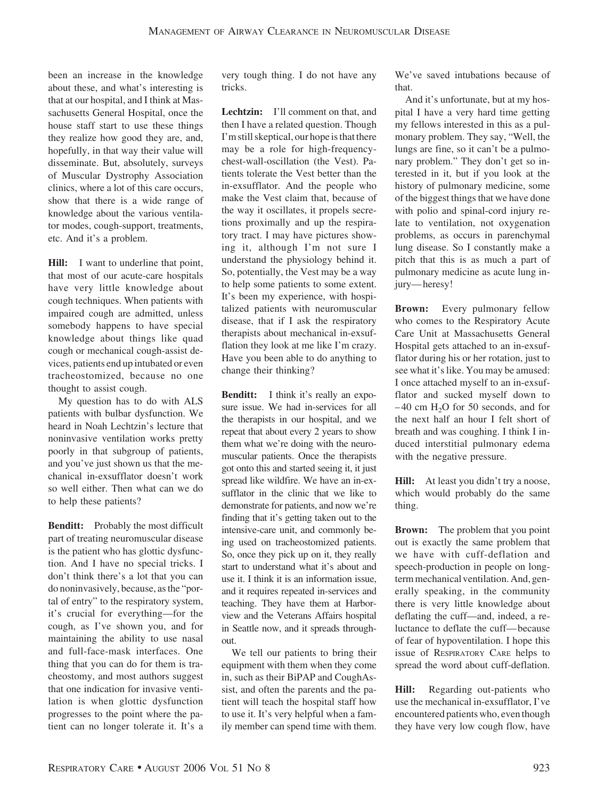been an increase in the knowledge about these, and what's interesting is that at our hospital, and I think at Massachusetts General Hospital, once the house staff start to use these things they realize how good they are, and, hopefully, in that way their value will disseminate. But, absolutely, surveys of Muscular Dystrophy Association clinics, where a lot of this care occurs, show that there is a wide range of knowledge about the various ventilator modes, cough-support, treatments, etc. And it's a problem.

**Hill:** I want to underline that point, that most of our acute-care hospitals have very little knowledge about cough techniques. When patients with impaired cough are admitted, unless somebody happens to have special knowledge about things like quad cough or mechanical cough-assist devices, patients end up intubated or even tracheostomized, because no one thought to assist cough.

My question has to do with ALS patients with bulbar dysfunction. We heard in Noah Lechtzin's lecture that noninvasive ventilation works pretty poorly in that subgroup of patients, and you've just shown us that the mechanical in-exsufflator doesn't work so well either. Then what can we do to help these patients?

**Benditt:** Probably the most difficult part of treating neuromuscular disease is the patient who has glottic dysfunction. And I have no special tricks. I don't think there's a lot that you can do noninvasively, because, as the "portal of entry" to the respiratory system, it's crucial for everything—for the cough, as I've shown you, and for maintaining the ability to use nasal and full-face-mask interfaces. One thing that you can do for them is tracheostomy, and most authors suggest that one indication for invasive ventilation is when glottic dysfunction progresses to the point where the patient can no longer tolerate it. It's a

very tough thing. I do not have any tricks.

Lechtzin: I'll comment on that, and then I have a related question. Though I'm still skeptical, our hope is that there may be a role for high-frequencychest-wall-oscillation (the Vest). Patients tolerate the Vest better than the in-exsufflator. And the people who make the Vest claim that, because of the way it oscillates, it propels secretions proximally and up the respiratory tract. I may have pictures showing it, although I'm not sure I understand the physiology behind it. So, potentially, the Vest may be a way to help some patients to some extent. It's been my experience, with hospitalized patients with neuromuscular disease, that if I ask the respiratory therapists about mechanical in-exsufflation they look at me like I'm crazy. Have you been able to do anything to change their thinking?

**Benditt:** I think it's really an exposure issue. We had in-services for all the therapists in our hospital, and we repeat that about every 2 years to show them what we're doing with the neuromuscular patients. Once the therapists got onto this and started seeing it, it just spread like wildfire. We have an in-exsufflator in the clinic that we like to demonstrate for patients, and now we're finding that it's getting taken out to the intensive-care unit, and commonly being used on tracheostomized patients. So, once they pick up on it, they really start to understand what it's about and use it. I think it is an information issue, and it requires repeated in-services and teaching. They have them at Harborview and the Veterans Affairs hospital in Seattle now, and it spreads throughout.

We tell our patients to bring their equipment with them when they come in, such as their BiPAP and CoughAssist, and often the parents and the patient will teach the hospital staff how to use it. It's very helpful when a family member can spend time with them. We've saved intubations because of that.

And it's unfortunate, but at my hospital I have a very hard time getting my fellows interested in this as a pulmonary problem. They say, "Well, the lungs are fine, so it can't be a pulmonary problem." They don't get so interested in it, but if you look at the history of pulmonary medicine, some of the biggest things that we have done with polio and spinal-cord injury relate to ventilation, not oxygenation problems, as occurs in parenchymal lung disease. So I constantly make a pitch that this is as much a part of pulmonary medicine as acute lung injury— heresy!

**Brown:** Every pulmonary fellow who comes to the Respiratory Acute Care Unit at Massachusetts General Hospital gets attached to an in-exsufflator during his or her rotation, just to see what it's like. You may be amused: I once attached myself to an in-exsufflator and sucked myself down to  $-40$  cm H<sub>2</sub>O for 50 seconds, and for the next half an hour I felt short of breath and was coughing. I think I induced interstitial pulmonary edema with the negative pressure.

Hill: At least you didn't try a noose, which would probably do the same thing.

**Brown:** The problem that you point out is exactly the same problem that we have with cuff-deflation and speech-production in people on longterm mechanical ventilation. And, generally speaking, in the community there is very little knowledge about deflating the cuff—and, indeed, a reluctance to deflate the cuff— because of fear of hypoventilation. I hope this issue of RESPIRATORY CARE helps to spread the word about cuff-deflation.

**Hill:** Regarding out-patients who use the mechanical in-exsufflator, I've encountered patients who, even though they have very low cough flow, have